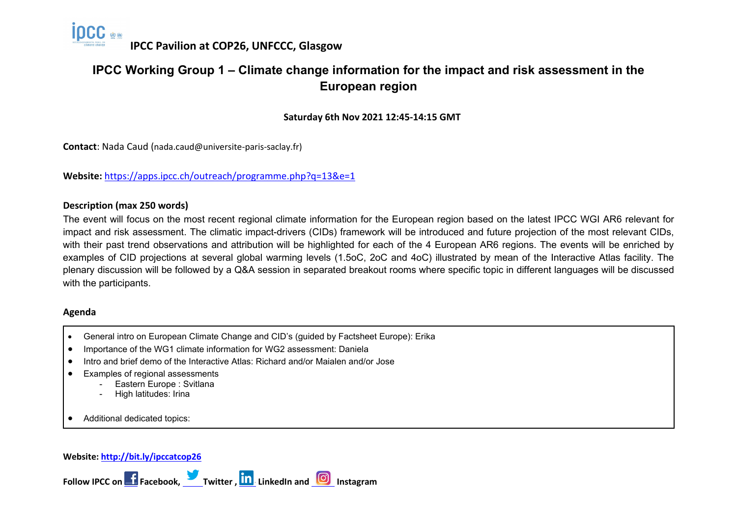

# **IPCC Working Group 1 – Climate change information for the impact and risk assessment in the European region**

**Saturday 6th Nov 2021 12:45-14:15 GMT**

**Contact**: Nada Caud (nada.caud@universite-paris-saclay.fr)

**Website:** <https://apps.ipcc.ch/outreach/programme.php?q=13&e=1>

### **Description (max 250 words)**

The event will focus on the most recent regional climate information for the European region based on the latest IPCC WGI AR6 relevant for impact and risk assessment. The climatic impact-drivers (CIDs) framework will be introduced and future projection of the most relevant CIDs, with their past trend observations and attribution will be highlighted for each of the 4 European AR6 regions. The events will be enriched by examples of CID projections at several global warming levels (1.5oC, 2oC and 4oC) illustrated by mean of the Interactive Atlas facility. The plenary discussion will be followed by a Q&A session in separated breakout rooms where specific topic in different languages will be discussed with the participants.

#### **Agenda**

- General intro on European Climate Change and CID's (guided by Factsheet Europe): Erika
- Importance of the WG1 climate information for WG2 assessment: Daniela
- Intro and brief demo of the Interactive Atlas: Richard and/or Maialen and/or Jose
- Examples of regional assessments
	- Eastern Europe : Svitlana
	- High latitudes: Irina

• Additional dedicated topics:

#### **Website:<http://bit.ly/ipccatcop26>**

Follow IPCC on **F** Facebook, Twitter , **In** LinkedIn and **ID** Instagram